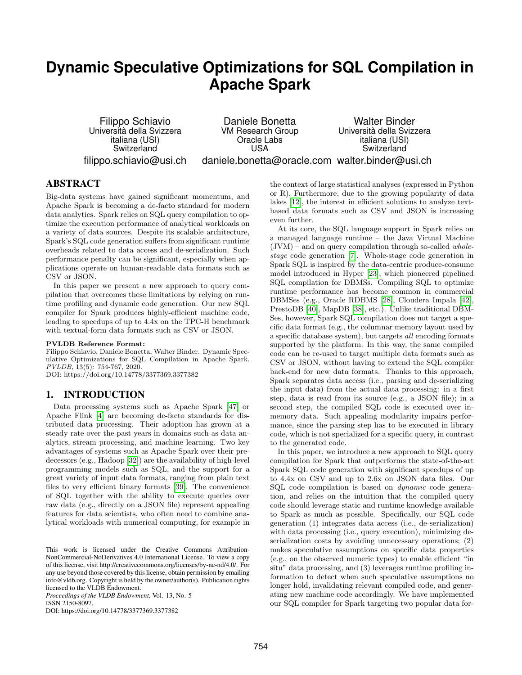# **Dynamic Speculative Optimizations for SQL Compilation in Apache Spark**

Filippo Schiavio Universita della Svizzera ` italiana (USI) Switzerland filippo.schiavio@usi.ch

Daniele Bonetta VM Research Group Oracle Labs USA daniele.bonetta@oracle.com walter.binder@usi.ch Walter Binder Universita della Svizzera ` italiana (USI) Switzerland

# ABSTRACT

Big-data systems have gained significant momentum, and Apache Spark is becoming a de-facto standard for modern data analytics. Spark relies on SQL query compilation to optimize the execution performance of analytical workloads on a variety of data sources. Despite its scalable architecture, Spark's SQL code generation suffers from significant runtime overheads related to data access and de-serialization. Such performance penalty can be significant, especially when applications operate on human-readable data formats such as CSV or JSON.

In this paper we present a new approach to query compilation that overcomes these limitations by relying on runtime profiling and dynamic code generation. Our new SQL compiler for Spark produces highly-efficient machine code, leading to speedups of up to 4.4x on the TPC-H benchmark with textual-form data formats such as CSV or JSON.

#### PVLDB Reference Format:

Filippo Schiavio, Daniele Bonetta, Walter Binder. Dynamic Speculative Optimizations for SQL Compilation in Apache Spark. PVLDB, 13(5): 754-767, 2020. DOI: https://doi.org/10.14778/3377369.3377382

## 1. INTRODUCTION

Data processing systems such as Apache Spark [\[47\]](#page-13-0) or Apache Flink [\[4\]](#page-12-0) are becoming de-facto standards for distributed data processing. Their adoption has grown at a steady rate over the past years in domains such as data analytics, stream processing, and machine learning. Two key advantages of systems such as Apache Spark over their predecessors (e.g., Hadoop [\[32\]](#page-12-1)) are the availability of high-level programming models such as SQL, and the support for a great variety of input data formats, ranging from plain text files to very efficient binary formats [\[39\]](#page-13-1). The convenience of SQL together with the ability to execute queries over raw data (e.g., directly on a JSON file) represent appealing features for data scientists, who often need to combine analytical workloads with numerical computing, for example in

*Proceedings of the VLDB Endowment,* Vol. 13, No. 5 ISSN 2150-8097.

DOI: https://doi.org/10.14778/3377369.3377382

the context of large statistical analyses (expressed in Python or R). Furthermore, due to the growing popularity of data lakes [\[12\]](#page-12-2), the interest in efficient solutions to analyze textbased data formats such as CSV and JSON is increasing even further.

At its core, the SQL language support in Spark relies on a managed language runtime – the Java Virtual Machine  $(JVM)$  – and on query compilation through so-called *whole*stage code generation [\[7\]](#page-12-3). Whole-stage code generation in Spark SQL is inspired by the data-centric produce-consume model introduced in Hyper [\[23\]](#page-12-4), which pioneered pipelined SQL compilation for DBMSs. Compiling SQL to optimize runtime performance has become common in commercial DBMSes (e.g., Oracle RDBMS [\[28\]](#page-12-5), Cloudera Impala [\[42\]](#page-13-2), PrestoDB [\[40\]](#page-13-3), MapDB [\[38\]](#page-13-4), etc.). Unlike traditional DBM-Ses, however, Spark SQL compilation does not target a specific data format (e.g., the columnar memory layout used by a specific database system), but targets all encoding formats supported by the platform. In this way, the same compiled code can be re-used to target multiple data formats such as CSV or JSON, without having to extend the SQL compiler back-end for new data formats. Thanks to this approach, Spark separates data access (i.e., parsing and de-serializing the input data) from the actual data processing: in a first step, data is read from its source (e.g., a JSON file); in a second step, the compiled SQL code is executed over inmemory data. Such appealing modularity impairs performance, since the parsing step has to be executed in library code, which is not specialized for a specific query, in contrast to the generated code.

In this paper, we introduce a new approach to SQL query compilation for Spark that outperforms the state-of-the-art Spark SQL code generation with significant speedups of up to 4.4x on CSV and up to 2.6x on JSON data files. Our SQL code compilation is based on dynamic code generation, and relies on the intuition that the compiled query code should leverage static and runtime knowledge available to Spark as much as possible. Specifically, our SQL code generation (1) integrates data access (i.e., de-serialization) with data processing (i.e., query execution), minimizing deserialization costs by avoiding unnecessary operations; (2) makes speculative assumptions on specific data properties (e.g., on the observed numeric types) to enable efficient "in situ" data processing, and (3) leverages runtime profiling information to detect when such speculative assumptions no longer hold, invalidating relevant compiled code, and generating new machine code accordingly. We have implemented our SQL compiler for Spark targeting two popular data for-

This work is licensed under the Creative Commons Attribution-NonCommercial-NoDerivatives 4.0 International License. To view a copy of this license, visit http://creativecommons.org/licenses/by-nc-nd/4.0/. For any use beyond those covered by this license, obtain permission by emailing info@vldb.org. Copyright is held by the owner/author(s). Publication rights licensed to the VLDB Endowment.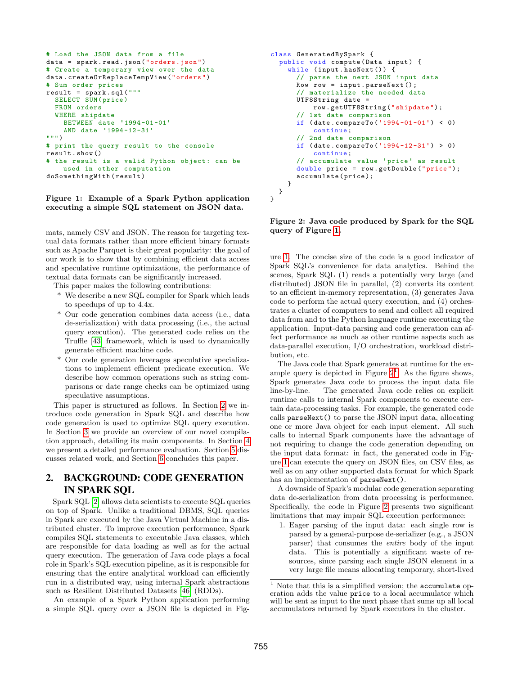```
# Load the JSON data from a file
data = spark . read . json (" orders . json ")
# Create a temporary view over the data
data . createOrReplaceTempView (" orders ")
# Sum order prices
result = spark . sql ("""
  SELECT SUM ( price )
  FROM orders
  WHERE shipdate
    BETWEEN date '1994 -01 -01 '
    AND date '1994 -12 -31 '
""" )
# print the query result to the console
result . show ()
# the result is a valid Python object: can be
    used in other computation
doSomethingWith ( result )
```
#### <span id="page-1-1"></span>Figure 1: Example of a Spark Python application executing a simple SQL statement on JSON data.

mats, namely CSV and JSON. The reason for targeting textual data formats rather than more efficient binary formats such as Apache Parquet is their great popularity: the goal of our work is to show that by combining efficient data access and speculative runtime optimizations, the performance of textual data formats can be significantly increased.

This paper makes the following contributions:

- \* We describe a new SQL compiler for Spark which leads to speedups of up to 4.4x.
- \* Our code generation combines data access (i.e., data de-serialization) with data processing (i.e., the actual query execution). The generated code relies on the Truffle [\[43\]](#page-13-5) framework, which is used to dynamically generate efficient machine code.
- \* Our code generation leverages speculative specializations to implement efficient predicate execution. We describe how common operations such as string comparisons or date range checks can be optimized using speculative assumptions.

This paper is structured as follows. In Section [2](#page-1-0) we introduce code generation in Spark SQL and describe how code generation is used to optimize SQL query execution. In Section [3](#page-2-0) we provide an overview of our novel compilation approach, detailing its main components. In Section [4](#page-7-0) we present a detailed performance evaluation. Section [5](#page-10-0) discusses related work, and Section [6](#page-11-0) concludes this paper.

# <span id="page-1-0"></span>2. BACKGROUND: CODE GENERATION IN SPARK SQL

Spark SQL [\[2\]](#page-12-6) allows data scientists to execute SQL queries on top of Spark. Unlike a traditional DBMS, SQL queries in Spark are executed by the Java Virtual Machine in a distributed cluster. To improve execution performance, Spark compiles SQL statements to executable Java classes, which are responsible for data loading as well as for the actual query execution. The generation of Java code plays a focal role in Spark's SQL execution pipeline, as it is responsible for ensuring that the entire analytical workload can efficiently run in a distributed way, using internal Spark abstractions such as Resilient Distributed Datasets [\[46\]](#page-13-6) (RDDs).

An example of a Spark Python application performing a simple SQL query over a JSON file is depicted in Fig-

```
class GeneratedBySpark {
  public void compute (Data input) {
    while (input.hasNext()) {
      // parse the next JSON input data
      Row row = input . parseNext();
      // materialize the needed data
      UTF8String date =
           row . getUTF8String (" shipdate ") ;
      // 1st date comparison
      if ( date . compareTo ('1994 -01 -01 ') < 0)
           continue ;
      // 2nd date comparison
      if ( date . compareTo ('1994 -12 -31 ') > 0)
           continue ;
      // accumulate value 'price ' as result
      double price = row . getDouble (" price ");
      accumulate ( price );
    }
 }
}
```
<span id="page-1-2"></span>Figure 2: Java code produced by Spark for the SQL query of Figure [1.](#page-1-1)

ure [1.](#page-1-1) The concise size of the code is a good indicator of Spark SQL's convenience for data analytics. Behind the scenes, Spark SQL (1) reads a potentially very large (and distributed) JSON file in parallel, (2) converts its content to an efficient in-memory representation, (3) generates Java code to perform the actual query execution, and (4) orchestrates a cluster of computers to send and collect all required data from and to the Python language runtime executing the application. Input-data parsing and code generation can affect performance as much as other runtime aspects such as data-parallel execution, I/O orchestration, workload distribution, etc.

The Java code that Spark generates at runtime for the example query is depicted in Figure  $2<sup>1</sup>$  $2<sup>1</sup>$  $2<sup>1</sup>$ . As the figure shows, Spark generates Java code to process the input data file line-by-line. The generated Java code relies on explicit runtime calls to internal Spark components to execute certain data-processing tasks. For example, the generated code calls parseNext() to parse the JSON input data, allocating one or more Java object for each input element. All such calls to internal Spark components have the advantage of not requiring to change the code generation depending on the input data format: in fact, the generated code in Figure [1](#page-1-1) can execute the query on JSON files, on CSV files, as well as on any other supported data format for which Spark has an implementation of parseNext().

A downside of Spark's modular code generation separating data de-serialization from data processing is performance. Specifically, the code in Figure [2](#page-1-2) presents two significant limitations that may impair SQL execution performance:

1. Eager parsing of the input data: each single row is parsed by a general-purpose de-serializer (e.g., a JSON parser) that consumes the entire body of the input data. This is potentially a significant waste of resources, since parsing each single JSON element in a very large file means allocating temporary, short-lived

<span id="page-1-3"></span> $^{\rm 1}$  Note that this is a simplified version; the accumulate operation adds the value price to a local accumulator which will be sent as input to the next phase that sums up all local accumulators returned by Spark executors in the cluster.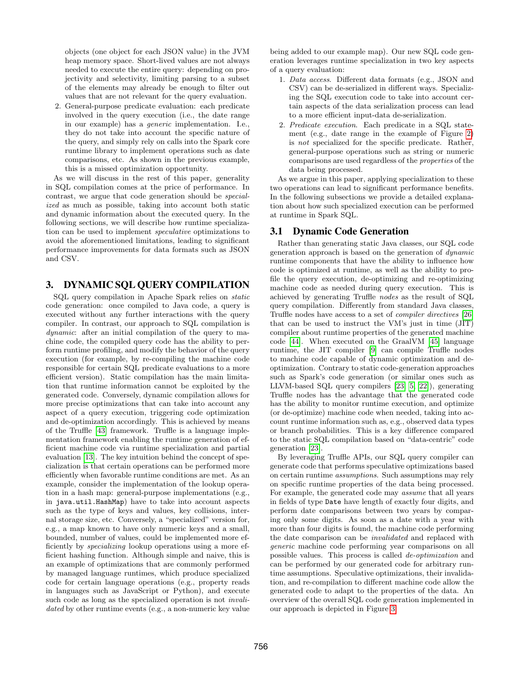objects (one object for each JSON value) in the JVM heap memory space. Short-lived values are not always needed to execute the entire query: depending on projectivity and selectivity, limiting parsing to a subset of the elements may already be enough to filter out values that are not relevant for the query evaluation.

2. General-purpose predicate evaluation: each predicate involved in the query execution (i.e., the date range in our example) has a generic implementation. I.e., they do not take into account the specific nature of the query, and simply rely on calls into the Spark core runtime library to implement operations such as date comparisons, etc. As shown in the previous example, this is a missed optimization opportunity.

As we will discuss in the rest of this paper, generality in SQL compilation comes at the price of performance. In contrast, we argue that code generation should be specialized as much as possible, taking into account both static and dynamic information about the executed query. In the following sections, we will describe how runtime specialization can be used to implement speculative optimizations to avoid the aforementioned limitations, leading to significant performance improvements for data formats such as JSON and CSV.

# <span id="page-2-0"></span>3. DYNAMIC SQL QUERY COMPILATION

SQL query compilation in Apache Spark relies on static code generation: once compiled to Java code, a query is executed without any further interactions with the query compiler. In contrast, our approach to SQL compilation is dynamic: after an initial compilation of the query to machine code, the compiled query code has the ability to perform runtime profiling, and modify the behavior of the query execution (for example, by re-compiling the machine code responsible for certain SQL predicate evaluations to a more efficient version). Static compilation has the main limitation that runtime information cannot be exploited by the generated code. Conversely, dynamic compilation allows for more precise optimizations that can take into account any aspect of a query execution, triggering code optimization and de-optimization accordingly. This is achieved by means of the Truffle [\[43\]](#page-13-5) framework. Truffle is a language implementation framework enabling the runtime generation of efficient machine code via runtime specialization and partial evaluation [\[13\]](#page-12-7). The key intuition behind the concept of specialization is that certain operations can be performed more efficiently when favorable runtime conditions are met. As an example, consider the implementation of the lookup operation in a hash map: general-purpose implementations (e.g., in java.util.HashMap) have to take into account aspects such as the type of keys and values, key collisions, internal storage size, etc. Conversely, a "specialized" version for, e.g., a map known to have only numeric keys and a small, bounded, number of values, could be implemented more efficiently by specializing lookup operations using a more efficient hashing function. Although simple and naive, this is an example of optimizations that are commonly performed by managed language runtimes, which produce specialized code for certain language operations (e.g., property reads in languages such as JavaScript or Python), and execute such code as long as the specialized operation is not *invali*dated by other runtime events (e.g., a non-numeric key value being added to our example map). Our new SQL code generation leverages runtime specialization in two key aspects of a query evaluation:

- 1. Data access. Different data formats (e.g., JSON and CSV) can be de-serialized in different ways. Specializing the SQL execution code to take into account certain aspects of the data serialization process can lead to a more efficient input-data de-serialization.
- 2. Predicate execution. Each predicate in a SQL statement (e.g., date range in the example of Figure [2\)](#page-1-2) is not specialized for the specific predicate. Rather, general-purpose operations such as string or numeric comparisons are used regardless of the properties of the data being processed.

As we argue in this paper, applying specialization to these two operations can lead to significant performance benefits. In the following subsections we provide a detailed explanation about how such specialized execution can be performed at runtime in Spark SQL.

## 3.1 Dynamic Code Generation

Rather than generating static Java classes, our SQL code generation approach is based on the generation of dynamic runtime components that have the ability to influence how code is optimized at runtime, as well as the ability to profile the query execution, de-optimizing and re-optimizing machine code as needed during query execution. This is achieved by generating Truffle nodes as the result of SQL query compilation. Differently from standard Java classes, Truffle nodes have access to a set of compiler directives [\[26\]](#page-12-8) that can be used to instruct the VM's just in time (JIT) compiler about runtime properties of the generated machine code [\[44\]](#page-13-7). When executed on the GraalVM [\[45\]](#page-13-8) language runtime, the JIT compiler [\[9\]](#page-12-9) can compile Truffle nodes to machine code capable of dynamic optimization and deoptimization. Contrary to static code-generation approaches such as Spark's code generation (or similar ones such as LLVM-based SQL query compilers [\[23,](#page-12-4) [5,](#page-12-10) [22\]](#page-12-11)), generating Truffle nodes has the advantage that the generated code has the ability to monitor runtime execution, and optimize (or de-optimize) machine code when needed, taking into account runtime information such as, e.g., observed data types or branch probabilities. This is a key difference compared to the static SQL compilation based on "data-centric" code generation [\[23\]](#page-12-4).

By leveraging Truffle APIs, our SQL query compiler can generate code that performs speculative optimizations based on certain runtime assumptions. Such assumptions may rely on specific runtime properties of the data being processed. For example, the generated code may assume that all years in fields of type Date have length of exactly four digits, and perform date comparisons between two years by comparing only some digits. As soon as a date with a year with more than four digits is found, the machine code performing the date comparison can be invalidated and replaced with generic machine code performing year comparisons on all possible values. This process is called de-optimization and can be performed by our generated code for arbitrary runtime assumptions. Speculative optimizations, their invalidation, and re-compilation to different machine code allow the generated code to adapt to the properties of the data. An overview of the overall SQL code generation implemented in our approach is depicted in Figure [3.](#page-3-0)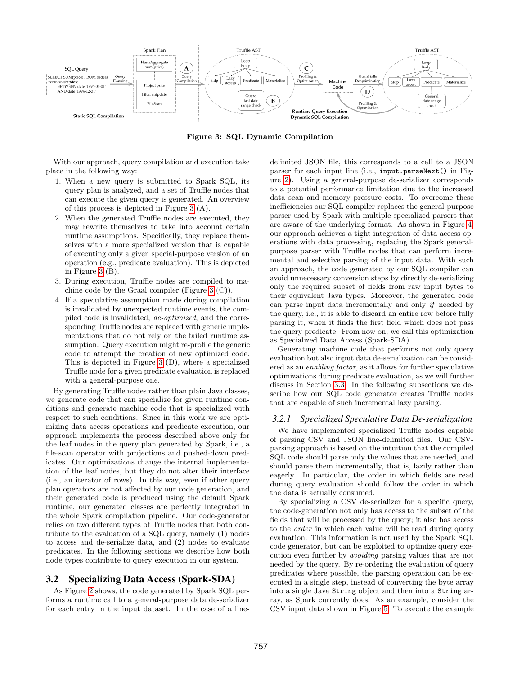

<span id="page-3-0"></span>Figure 3: SQL Dynamic Compilation

With our approach, query compilation and execution take place in the following way:

- 1. When a new query is submitted to Spark SQL, its query plan is analyzed, and a set of Truffle nodes that can execute the given query is generated. An overview of this process is depicted in Figure [3](#page-3-0) (A).
- 2. When the generated Truffle nodes are executed, they may rewrite themselves to take into account certain runtime assumptions. Specifically, they replace themselves with a more specialized version that is capable of executing only a given special-purpose version of an operation (e.g., predicate evaluation). This is depicted in Figure [3](#page-3-0) (B).
- 3. During execution, Truffle nodes are compiled to machine code by the Graal compiler (Figure [3](#page-3-0) (C)).
- 4. If a speculative assumption made during compilation is invalidated by unexpected runtime events, the compiled code is invalidated, de-optimized, and the corresponding Truffle nodes are replaced with generic implementations that do not rely on the failed runtime assumption. Query execution might re-profile the generic code to attempt the creation of new optimized code. This is depicted in Figure [3](#page-3-0) (D), where a specialized Truffle node for a given predicate evaluation is replaced with a general-purpose one.

By generating Truffle nodes rather than plain Java classes, we generate code that can specialize for given runtime conditions and generate machine code that is specialized with respect to such conditions. Since in this work we are optimizing data access operations and predicate execution, our approach implements the process described above only for the leaf nodes in the query plan generated by Spark, i.e., a file-scan operator with projections and pushed-down predicates. Our optimizations change the internal implementation of the leaf nodes, but they do not alter their interface (i.e., an iterator of rows). In this way, even if other query plan operators are not affected by our code generation, and their generated code is produced using the default Spark runtime, our generated classes are perfectly integrated in the whole Spark compilation pipeline. Our code-generator relies on two different types of Truffle nodes that both contribute to the evaluation of a SQL query, namely (1) nodes to access and de-serialize data, and (2) nodes to evaluate predicates. In the following sections we describe how both node types contribute to query execution in our system.

# 3.2 Specializing Data Access (Spark-SDA)

As Figure [2](#page-1-2) shows, the code generated by Spark SQL performs a runtime call to a general-purpose data de-serializer for each entry in the input dataset. In the case of a linedelimited JSON file, this corresponds to a call to a JSON parser for each input line (i.e., input.parseNext() in Figure [2\)](#page-1-2). Using a general-purpose de-serializer corresponds to a potential performance limitation due to the increased data scan and memory pressure costs. To overcome these inefficiencies our SQL compiler replaces the general-purpose parser used by Spark with multiple specialized parsers that are aware of the underlying format. As shown in Figure [4,](#page-4-0) our approach achieves a tight integration of data access operations with data processing, replacing the Spark generalpurpose parser with Truffle nodes that can perform incremental and selective parsing of the input data. With such an approach, the code generated by our SQL compiler can avoid unnecessary conversion steps by directly de-serializing only the required subset of fields from raw input bytes to their equivalent Java types. Moreover, the generated code can parse input data incrementally and only if needed by the query, i.e., it is able to discard an entire row before fully parsing it, when it finds the first field which does not pass the query predicate. From now on, we call this optimization as Specialized Data Access (Spark-SDA).

Generating machine code that performs not only query evaluation but also input data de-serialization can be considered as an enabling factor, as it allows for further speculative optimizations during predicate evaluation, as we will further discuss in Section [3.3.](#page-5-0) In the following subsections we describe how our SQL code generator creates Truffle nodes that are capable of such incremental lazy parsing.

## *3.2.1 Specialized Speculative Data De-serialization*

We have implemented specialized Truffle nodes capable of parsing CSV and JSON line-delimited files. Our CSVparsing approach is based on the intuition that the compiled SQL code should parse only the values that are needed, and should parse them incrementally, that is, lazily rather than eagerly. In particular, the order in which fields are read during query evaluation should follow the order in which the data is actually consumed.

By specializing a CSV de-serializer for a specific query, the code-generation not only has access to the subset of the fields that will be processed by the query; it also has access to the order in which each value will be read during query evaluation. This information is not used by the Spark SQL code generator, but can be exploited to optimize query execution even further by avoiding parsing values that are not needed by the query. By re-ordering the evaluation of query predicates where possible, the parsing operation can be executed in a single step, instead of converting the byte array into a single Java String object and then into a String array, as Spark currently does. As an example, consider the CSV input data shown in Figure [5.](#page-4-1) To execute the example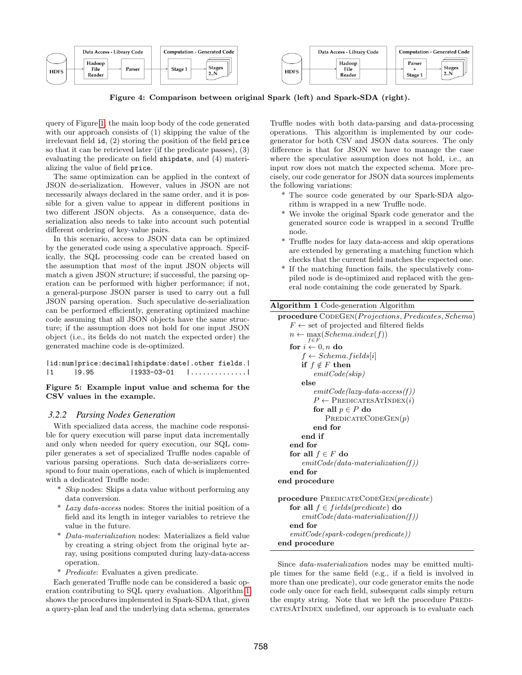|             | Data Access - Library Code         | <b>Computation - Generated Code</b> |             | Data Access - Library Code | <b>Computation - Generated Code</b>       |  |
|-------------|------------------------------------|-------------------------------------|-------------|----------------------------|-------------------------------------------|--|
| <b>HDFS</b> | Hadoop<br>File<br>Parser<br>Reader | <b>Stages</b><br>Stage 1<br>2N      | <b>HDFS</b> | Hadoop<br>File<br>Reader   | Parser<br><b>Stages</b><br>2.N<br>Stage 1 |  |

<span id="page-4-0"></span>Figure 4: Comparison between original Spark (left) and Spark-SDA (right).

query of Figure [1,](#page-1-1) the main loop body of the code generated with our approach consists of (1) skipping the value of the irrelevant field id, (2) storing the position of the field price so that it can be retrieved later (if the predicate passes), (3) evaluating the predicate on field shipdate, and (4) materializing the value of field price.

The same optimization can be applied in the context of JSON de-serialization. However, values in JSON are not necessarily always declared in the same order, and it is possible for a given value to appear in different positions in two different JSON objects. As a consequence, data deserialization also needs to take into account such potential different ordering of key-value pairs.

In this scenario, access to JSON data can be optimized by the generated code using a speculative approach. Specifically, the SQL processing code can be created based on the assumption that most of the input JSON objects will match a given JSON structure; if successful, the parsing operation can be performed with higher performance; if not, a general-purpose JSON parser is used to carry out a full JSON parsing operation. Such speculative de-serialization can be performed efficiently, generating optimized machine code assuming that all JSON objects have the same structure; if the assumption does not hold for one input JSON object (i.e., its fields do not match the expected order) the generated machine code is de-optimized.

|   |       | id:num price:decimal shipdate:date .other fields. |   |
|---|-------|---------------------------------------------------|---|
| 1 | 19.95 | 11933-03-01                                       | . |

#### <span id="page-4-1"></span>Figure 5: Example input value and schema for the CSV values in the example.

## *3.2.2 Parsing Nodes Generation*

With specialized data access, the machine code responsible for query execution will parse input data incrementally and only when needed for query execution, our SQL compiler generates a set of specialized Truffle nodes capable of various parsing operations. Such data de-serializers correspond to four main operations, each of which is implemented with a dedicated Truffle node:

- \* Skip nodes: Skips a data value without performing any data conversion.
- \* Lazy data-access nodes: Stores the initial position of a field and its length in integer variables to retrieve the value in the future.
- \* Data-materialization nodes: Materializes a field value by creating a string object from the original byte array, using positions computed during lazy-data-access operation.
- \* Predicate: Evaluates a given predicate.

Each generated Truffle node can be considered a basic operation contributing to SQL query evaluation. Algorithm [1](#page-4-2) shows the procedures implemented in Spark-SDA that, given a query-plan leaf and the underlying data schema, generates Truffle nodes with both data-parsing and data-processing operations. This algorithm is implemented by our codegenerator for both CSV and JSON data sources. The only difference is that for JSON we have to manage the case where the speculative assumption does not hold, i.e., an input row does not match the expected schema. More precisely, our code generator for JSON data sources implements the following variations:

- \* The source code generated by our Spark-SDA algorithm is wrapped in a new Truffle node.
- \* We invoke the original Spark code generator and the generated source code is wrapped in a second Truffle node.
- \* Truffle nodes for lazy data-access and skip operations are extended by generating a matching function which checks that the current field matches the expected one.
- \* If the matching function fails, the speculatively compiled node is de-optimized and replaced with the general node containing the code generated by Spark.

## <span id="page-4-2"></span>Algorithm 1 Code-generation Algorithm

```
procedure CODEGEN(Projections, Predicates, Schema)
   F \leftarrow set of projected and filtered fields
   n \leftarrow \max_{f \in F} (Schema.index(f))for i \leftarrow 0, n do
       f \leftarrow Schema.fields[i]if f \notin F then
          emitCode(skip)
      else
          emitCode(lazy-data-access(f))P \leftarrow PREDICATESATINDEX(i)
          for all p \in P do
              PREDICATECODEGEN(p)end for
      end if
   end for
   for all f \in F do
       emitCode(data-materialization(f))end for
end procedure
procedure PREDICATECODEGEN(predicate)
   for all f \in fields(predicate) do
       emitCode(data-materialization(f))end for
   emitCode(spark-codegen(predicate))
```
end procedure

Since data-materialization nodes may be emitted multiple times for the same field (e.g., if a field is involved in more than one predicate), our code generator emits the node code only once for each field, subsequent calls simply return the empty string. Note that we left the procedure PREDIcatesAtIndex undefined, our approach is to evaluate each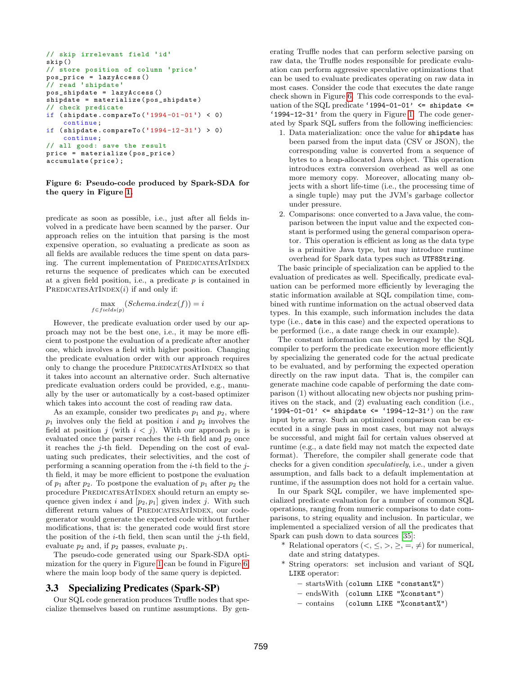```
// skip irrelevant field 'id '
skip ()
// store position of column 'price '
pos\_price = lazyAccess()// read 'shipdate '
pos\_shipdate = lazyAccess()shipdate = materialize ( pos_shipdate )
// check predicate
if ( shipdate . compareTo ('1994 -01 -01 ') < 0)
    continue ;
if (shipdate.compareTo('1994-12-31') > 0)continue ;
// all good: save the result
price = materialize ( pos_price )
accumulate ( price );
```
## <span id="page-5-1"></span>Figure 6: Pseudo-code produced by Spark-SDA for the query in Figure [1.](#page-1-1)

predicate as soon as possible, i.e., just after all fields involved in a predicate have been scanned by the parser. Our approach relies on the intuition that parsing is the most expensive operation, so evaluating a predicate as soon as all fields are available reduces the time spent on data parsing. The current implementation of PREDICATESATINDEX returns the sequence of predicates which can be executed at a given field position, i.e., a predicate  $p$  is contained in PREDICATESATINDEX $(i)$  if and only if:

$$
\max_{f \in fields(p)} (Schema.index(f)) = i
$$

However, the predicate evaluation order used by our approach may not be the best one, i.e., it may be more efficient to postpone the evaluation of a predicate after another one, which involves a field with higher position. Changing the predicate evaluation order with our approach requires only to change the procedure PREDICATESATINDEX so that it takes into account an alternative order. Such alternative predicate evaluation orders could be provided, e.g., manually by the user or automatically by a cost-based optimizer which takes into account the cost of reading raw data.

As an example, consider two predicates  $p_1$  and  $p_2$ , where  $p_1$  involves only the field at position i and  $p_2$  involves the field at position j (with  $i < j$ ). With our approach  $p_1$  is evaluated once the parser reaches the *i*-th field and  $p_2$  once it reaches the  $i$ -th field. Depending on the cost of evaluating such predicates, their selectivities, and the cost of performing a scanning operation from the  $i$ -th field to the  $i$ th field, it may be more efficient to postpone the evaluation of  $p_1$  after  $p_2$ . To postpone the evaluation of  $p_1$  after  $p_2$  the procedure PREDICATESATINDEX should return an empty sequence given index i and  $[p_2, p_1]$  given index j. With such different return values of PREDICATESATINDEX, our codegenerator would generate the expected code without further modifications, that is: the generated code would first store the position of the *i*-th field, then scan until the *j*-th field, evaluate  $p_2$  and, if  $p_2$  passes, evaluate  $p_1$ .

The pseudo-code generated using our Spark-SDA optimization for the query in Figure [1](#page-1-1) can be found in Figure [6,](#page-5-1) where the main loop body of the same query is depicted.

## <span id="page-5-0"></span>3.3 Specializing Predicates (Spark-SP)

Our SQL code generation produces Truffle nodes that specialize themselves based on runtime assumptions. By generating Truffle nodes that can perform selective parsing on raw data, the Truffle nodes responsible for predicate evaluation can perform aggressive speculative optimizations that can be used to evaluate predicates operating on raw data in most cases. Consider the code that executes the date range check shown in Figure [6.](#page-5-1) This code corresponds to the evaluation of the SQL predicate '1994-01-01'  $\leq$  shipdate  $\leq$ '1994-12-31' from the query in Figure [1.](#page-1-1) The code generated by Spark SQL suffers from the following inefficiencies:

- 1. Data materialization: once the value for shipdate has been parsed from the input data (CSV or JSON), the corresponding value is converted from a sequence of bytes to a heap-allocated Java object. This operation introduces extra conversion overhead as well as one more memory copy. Moreover, allocating many objects with a short life-time (i.e., the processing time of a single tuple) may put the JVM's garbage collector under pressure.
- 2. Comparisons: once converted to a Java value, the comparison between the input value and the expected constant is performed using the general comparison operator. This operation is efficient as long as the data type is a primitive Java type, but may introduce runtime overhead for Spark data types such as UTF8String.

The basic principle of specialization can be applied to the evaluation of predicates as well. Specifically, predicate evaluation can be performed more efficiently by leveraging the static information available at SQL compilation time, combined with runtime information on the actual observed data types. In this example, such information includes the data type (i.e., date in this case) and the expected operations to be performed (i.e., a date range check in our example).

The constant information can be leveraged by the SQL compiler to perform the predicate execution more efficiently by specializing the generated code for the actual predicate to be evaluated, and by performing the expected operation directly on the raw input data. That is, the compiler can generate machine code capable of performing the date comparison (1) without allocating new objects nor pushing primitives on the stack, and (2) evaluating each condition (i.e., '1994-01-01'  $\le$  shipdate  $\le$  '1994-12-31') on the raw input byte array. Such an optimized comparison can be executed in a single pass in most cases, but may not always be successful, and might fail for certain values observed at runtime (e.g., a date field may not match the expected date format). Therefore, the compiler shall generate code that checks for a given condition speculatively, i.e., under a given assumption, and falls back to a default implementation at runtime, if the assumption does not hold for a certain value.

In our Spark SQL compiler, we have implemented specialized predicate evaluation for a number of common SQL operations, ranging from numeric comparisons to date comparisons, to string equality and inclusion. In particular, we implemented a specialized version of all the predicates that Spark can push down to data sources [\[35\]](#page-13-9):

- \* Relational operators  $(<, \leq, >, \geq, =, \neq)$  for numerical, date and string datatypes.
- \* String operators: set inclusion and variant of SQL LIKE operator:
	- startsWith (column LIKE "constant%")
	- endsWith (column LIKE "%constant")
	- contains (column LIKE "%constant%")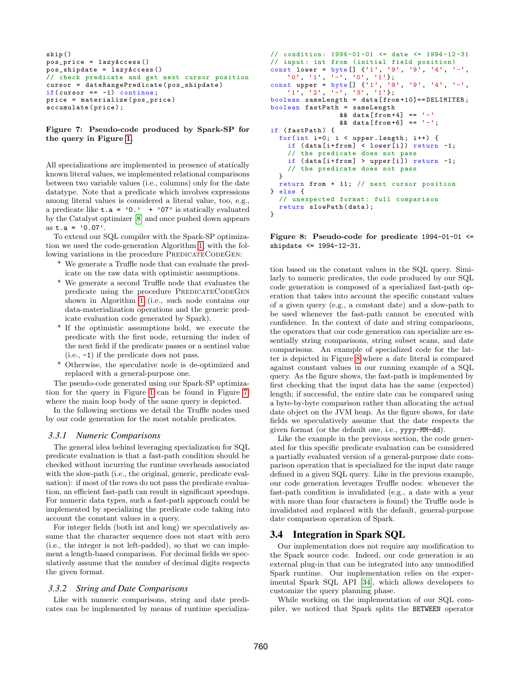```
skip ()
pos_price = lazyAccess ()
pos_shipdate = lazyAccess ()
// check predicate and get next cursor position
cursor = dateRangePredicate ( pos_shipdate )
if(cursor == -1) continue;
price = materialize ( pos_price )
accumulate ( price );
```
<span id="page-6-0"></span>Figure 7: Pseudo-code produced by Spark-SP for the query in Figure [1.](#page-1-1)

All specializations are implemented in presence of statically known literal values, we implemented relational comparisons between two variable values (i.e., columns) only for the date datatype. Note that a predicate which involves expressions among literal values is considered a literal value, too, e.g., a predicate like  $t.a = '0.' + '07'$  is statically evaluated by the Catalyst optimizer [\[8\]](#page-12-12) and once pushed down appears as  $t.a = '0.07'.$ 

To extend our SQL compiler with the Spark-SP optimization we used the code-generation Algorithm [1,](#page-4-2) with the following variations in the procedure PREDICATECODEGEN:

- \* We generate a Truffle node that can evaluate the predicate on the raw data with optimistic assumptions.
- \* We generate a second Truffle node that evaluates the predicate using the procedure PREDICATECODEGEN shown in Algorithm [1](#page-4-2) (i.e., such node contains our data-materialization operations and the generic predicate evaluation code generated by Spark).
- \* If the optimistic assumptions hold, we execute the predicate with the first node, returning the index of the next field if the predicate passes or a sentinel value (i.e., -1) if the predicate does not pass.
- \* Otherwise, the speculative node is de-optimized and replaced with a general-purpose one.

The pseudo-code generated using our Spark-SP optimization for the query in Figure [1](#page-1-1) can be found in Figure [7,](#page-6-0) where the main loop body of the same query is depicted.

In the following sections we detail the Truffle nodes used by our code generation for the most notable predicates.

## *3.3.1 Numeric Comparisons*

The general idea behind leveraging specialization for SQL predicate evaluation is that a fast-path condition should be checked without incurring the runtime overheads associated with the slow-path (i.e., the original, generic, predicate evaluation): if most of the rows do not pass the predicate evaluation, an efficient fast-path can result in significant speedups. For numeric data types, such a fast-path approach could be implemented by specializing the predicate code taking into account the constant values in a query.

For integer fields (both int and long) we speculatively assume that the character sequence does not start with zero (i.e., the integer is not left-padded), so that we can implement a length-based comparison. For decimal fields we speculatively assume that the number of decimal digits respects the given format.

#### *3.3.2 String and Date Comparisons*

Like with numeric comparisons, string and date predicates can be implemented by means of runtime specializa-

```
// condition : 1994 -01 -01 <= date <= 1994 -12 -31
// input: int from (initial field position)
const lower = byte [] \{ '1', '9', '9', '4', '--','0', '1', '-', '0', '1'};
const upper = byte [] {'1', '9', '9', '4', '-',
    (1', -2', -1', -3', -1');
boolean sameLength = data [ from +10]== DELIMITER ;
boolean fastPath = sameLength
                 && data [from+4] == '-'
                 && data [from +6] == '-';
if (fastPath) {
  for (int i=0; i < upper.length; i++) {
    if (data[i+from] < lower[i]) return -1;// the predicate does not pass
    if (data[i+from] > upper[i]) return -1;// the predicate does not pass
  }
  return from + 11; // next cursor position
} else {
  // unexpected format: full comparison
  return slowPath (data);
\mathbf{I}
```
<span id="page-6-1"></span>Figure 8: Pseudo-code for predicate  $1994-01-01 \le$ shipdate <= 1994-12-31.

tion based on the constant values in the SQL query. Similarly to numeric predicates, the code produced by our SQL code generation is composed of a specialized fast-path operation that takes into account the specific constant values of a given query (e.g., a constant date) and a slow-path to be used whenever the fast-path cannot be executed with confidence. In the context of date and string comparisons, the operators that our code generation can specialize are essentially string comparisons, string subset scans, and date comparisons. An example of specialized code for the latter is depicted in Figure [8](#page-6-1) where a date literal is compared against constant values in our running example of a SQL query. As the figure shows, the fast-path is implemented by first checking that the input data has the same (expected) length; if successful, the entire date can be compared using a byte-by-byte comparison rather than allocating the actual date object on the JVM heap. As the figure shows, for date fields we speculatively assume that the date respects the given format (or the default one, i.e., yyyy-MM-dd).

Like the example in the previous section, the code generated for this specific predicate evaluation can be considered a partially evaluated version of a general-purpose date comparison operation that is specialized for the input date range defined in a given SQL query. Like in the previous example, our code generation leverages Truffle nodes: whenever the fast-path condition is invalidated (e.g., a date with a year with more than four characters is found) the Truffle node is invalidated and replaced with the default, general-purpose date comparison operation of Spark.

## <span id="page-6-2"></span>3.4 Integration in Spark SQL

Our implementation does not require any modification to the Spark source code. Indeed, our code generation is an external plug-in that can be integrated into any unmodified Spark runtime. Our implementation relies on the experimental Spark SQL API [\[34\]](#page-12-13), which allows developers to customize the query planning phase.

While working on the implementation of our SQL compiler, we noticed that Spark splits the BETWEEN operator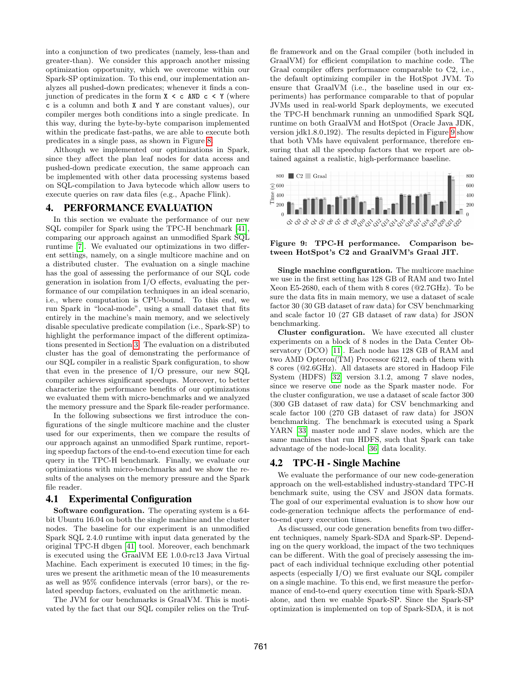into a conjunction of two predicates (namely, less-than and greater-than). We consider this approach another missing optimization opportunity, which we overcome within our Spark-SP optimization. To this end, our implementation analyzes all pushed-down predicates; whenever it finds a conjunction of predicates in the form  $X \leq c$  AND  $c \leq Y$  (where c is a column and both X and Y are constant values), our compiler merges both conditions into a single predicate. In this way, during the byte-by-byte comparison implemented within the predicate fast-paths, we are able to execute both predicates in a single pass, as shown in Figure [8.](#page-6-1)

Although we implemented our optimizations in Spark, since they affect the plan leaf nodes for data access and pushed-down predicate execution, the same approach can be implemented with other data processing systems based on SQL-compilation to Java bytecode which allow users to execute queries on raw data files (e.g., Apache Flink).

## <span id="page-7-0"></span>4. PERFORMANCE EVALUATION

In this section we evaluate the performance of our new SQL compiler for Spark using the TPC-H benchmark [\[41\]](#page-13-10), comparing our approach against an unmodified Spark SQL runtime [\[7\]](#page-12-3). We evaluated our optimizations in two different settings, namely, on a single multicore machine and on a distributed cluster. The evaluation on a single machine has the goal of assessing the performance of our SQL code generation in isolation from I/O effects, evaluating the performance of our compilation techniques in an ideal scenario, i.e., where computation is CPU-bound. To this end, we run Spark in "local-mode", using a small dataset that fits entirely in the machine's main memory, and we selectively disable speculative predicate compilation (i.e., Spark-SP) to highlight the performance impact of the different optimizations presented in Section [3.](#page-2-0) The evaluation on a distributed cluster has the goal of demonstrating the performance of our SQL compiler in a realistic Spark configuration, to show that even in the presence of I/O pressure, our new SQL compiler achieves significant speedups. Moreover, to better characterize the performance benefits of our optimizations we evaluated them with micro-benchmarks and we analyzed the memory pressure and the Spark file-reader performance.

In the following subsections we first introduce the configurations of the single multicore machine and the cluster used for our experiments, then we compare the results of our approach against an unmodified Spark runtime, reporting speedup factors of the end-to-end execution time for each query in the TPC-H benchmark. Finally, we evaluate our optimizations with micro-benchmarks and we show the results of the analyses on the memory pressure and the Spark file reader.

## <span id="page-7-2"></span>4.1 Experimental Configuration

Software configuration. The operating system is a 64 bit Ubuntu 16.04 on both the single machine and the cluster nodes. The baseline for our experiment is an unmodified Spark SQL 2.4.0 runtime with input data generated by the original TPC-H dbgen [\[41\]](#page-13-10) tool. Moreover, each benchmark is executed using the GraalVM EE 1.0.0-rc13 Java Virtual Machine. Each experiment is executed 10 times; in the figures we present the arithmetic mean of the 10 measurements as well as 95% confidence intervals (error bars), or the related speedup factors, evaluated on the arithmetic mean.

The JVM for our benchmarks is GraalVM. This is motivated by the fact that our SQL compiler relies on the Truffle framework and on the Graal compiler (both included in GraalVM) for efficient compilation to machine code. The Graal compiler offers performance comparable to C2, i.e., the default optimizing compiler in the HotSpot JVM. To ensure that GraalVM (i.e., the baseline used in our experiments) has performance comparable to that of popular JVMs used in real-world Spark deployments, we executed the TPC-H benchmark running an unmodified Spark SQL runtime on both GraalVM and HotSpot (Oracle Java JDK, version jdk1.8.0 192). The results depicted in Figure [9](#page-7-1) show that both VMs have equivalent performance, therefore ensuring that all the speedup factors that we report are obtained against a realistic, high-performance baseline.



<span id="page-7-1"></span>Figure 9: TPC-H performance. Comparison between HotSpot's C2 and GraalVM's Graal JIT.

Single machine configuration. The multicore machine we use in the first setting has 128 GB of RAM and two Intel Xeon E5-2680, each of them with 8 cores (@2.7GHz). To be sure the data fits in main memory, we use a dataset of scale factor 30 (30 GB dataset of raw data) for CSV benchmarking and scale factor 10 (27 GB dataset of raw data) for JSON benchmarking.

Cluster configuration. We have executed all cluster experiments on a block of 8 nodes in the Data Center Observatory (DCO) [\[11\]](#page-12-14). Each node has 128 GB of RAM and two AMD Opteron(TM) Processor 6212, each of them with 8 cores (@2.6GHz). All datasets are stored in Hadoop File System (HDFS) [\[32\]](#page-12-1) version 3.1.2, among 7 slave nodes, since we reserve one node as the Spark master node. For the cluster configuration, we use a dataset of scale factor 300 (300 GB dataset of raw data) for CSV benchmarking and scale factor 100 (270 GB dataset of raw data) for JSON benchmarking. The benchmark is executed using a Spark YARN [\[33\]](#page-12-15) master node and 7 slave nodes, which are the same machines that run HDFS, such that Spark can take advantage of the node-local [\[36\]](#page-13-11) data locality.

# 4.2 TPC-H - Single Machine

We evaluate the performance of our new code-generation approach on the well-established industry-standard TPC-H benchmark suite, using the CSV and JSON data formats. The goal of our experimental evaluation is to show how our code-generation technique affects the performance of endto-end query execution times.

As discussed, our code generation benefits from two different techniques, namely Spark-SDA and Spark-SP. Depending on the query workload, the impact of the two techniques can be different. With the goal of precisely assessing the impact of each individual technique excluding other potential aspects (especially I/O) we first evaluate our SQL compiler on a single machine. To this end, we first measure the performance of end-to-end query execution time with Spark-SDA alone, and then we enable Spark-SP. Since the Spark-SP optimization is implemented on top of Spark-SDA, it is not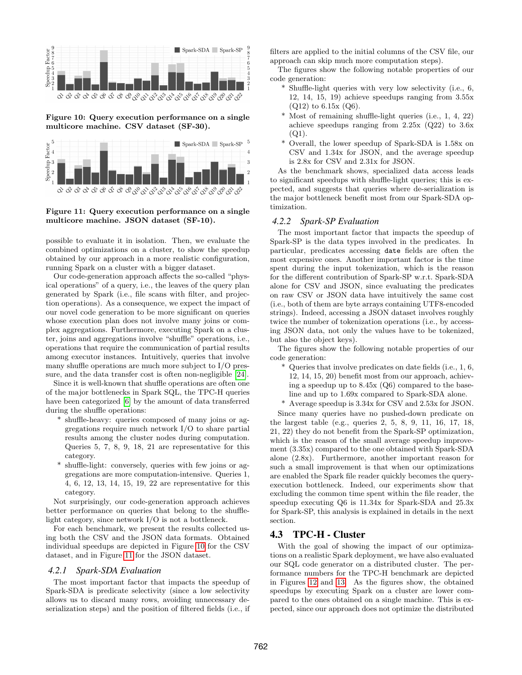

<span id="page-8-0"></span>Figure 10: Query execution performance on a single multicore machine. CSV dataset (SF-30).



## <span id="page-8-1"></span>Figure 11: Query execution performance on a single multicore machine. JSON dataset (SF-10).

possible to evaluate it in isolation. Then, we evaluate the combined optimizations on a cluster, to show the speedup obtained by our approach in a more realistic configuration, running Spark on a cluster with a bigger dataset.

Our code-generation approach affects the so-called "physical operations" of a query, i.e., the leaves of the query plan generated by Spark (i.e., file scans with filter, and projection operations). As a consequence, we expect the impact of our novel code generation to be more significant on queries whose execution plan does not involve many joins or complex aggregations. Furthermore, executing Spark on a cluster, joins and aggregations involve "shuffle" operations, i.e., operations that require the communication of partial results among executor instances. Intuitively, queries that involve many shuffle operations are much more subject to I/O pressure, and the data transfer cost is often non-negligible [\[24\]](#page-12-16).

Since it is well-known that shuffle operations are often one of the major bottlenecks in Spark SQL, the TPC-H queries have been categorized [\[6\]](#page-12-17) by the amount of data transferred during the shuffle operations:

- \* shuffle-heavy: queries composed of many joins or aggregations require much network I/O to share partial results among the cluster nodes during computation. Queries 5, 7, 8, 9, 18, 21 are representative for this category.
- \* shuffle-light: conversely, queries with few joins or aggregations are more computation-intensive. Queries 1, 4, 6, 12, 13, 14, 15, 19, 22 are representative for this category.

Not surprisingly, our code-generation approach achieves better performance on queries that belong to the shufflelight category, since network I/O is not a bottleneck.

For each benchmark, we present the results collected using both the CSV and the JSON data formats. Obtained individual speedups are depicted in Figure [10](#page-8-0) for the CSV dataset, and in Figure [11](#page-8-1) for the JSON dataset.

## <span id="page-8-2"></span>*4.2.1 Spark-SDA Evaluation*

The most important factor that impacts the speedup of Spark-SDA is predicate selectivity (since a low selectivity allows us to discard many rows, avoiding unnecessary deserialization steps) and the position of filtered fields (i.e., if filters are applied to the initial columns of the CSV file, our approach can skip much more computation steps).

The figures show the following notable properties of our code generation:

- \* Shuffle-light queries with very low selectivity (i.e., 6, 12, 14, 15, 19) achieve speedups ranging from 3.55x  $(Q12)$  to 6.15x  $(Q6)$ .
- \* Most of remaining shuffle-light queries (i.e., 1, 4, 22) achieve speedups ranging from 2.25x (Q22) to 3.6x  $(Q1)$ .
- \* Overall, the lower speedup of Spark-SDA is 1.58x on CSV and 1.34x for JSON, and the average speedup is 2.8x for CSV and 2.31x for JSON.

As the benchmark shows, specialized data access leads to significant speedups with shuffle-light queries; this is expected, and suggests that queries where de-serialization is the major bottleneck benefit most from our Spark-SDA optimization.

# <span id="page-8-3"></span>*4.2.2 Spark-SP Evaluation*

The most important factor that impacts the speedup of Spark-SP is the data types involved in the predicates. In particular, predicates accessing date fields are often the most expensive ones. Another important factor is the time spent during the input tokenization, which is the reason for the different contribution of Spark-SP w.r.t. Spark-SDA alone for CSV and JSON, since evaluating the predicates on raw CSV or JSON data have intuitively the same cost (i.e., both of them are byte arrays containing UTF8-encoded strings). Indeed, accessing a JSON dataset involves roughly twice the number of tokenization operations (i.e., by accessing JSON data, not only the values have to be tokenized, but also the object keys).

The figures show the following notable properties of our code generation:

- \* Queries that involve predicates on date fields (i.e., 1, 6, 12, 14, 15, 20) benefit most from our approach, achieving a speedup up to 8.45x (Q6) compared to the baseline and up to 1.69x compared to Spark-SDA alone.
- \* Average speedup is 3.34x for CSV and 2.53x for JSON.

Since many queries have no pushed-down predicate on the largest table (e.g., queries 2, 5, 8, 9, 11, 16, 17, 18, 21, 22) they do not benefit from the Spark-SP optimization, which is the reason of the small average speedup improvement (3.35x) compared to the one obtained with Spark-SDA alone (2.8x). Furthermore, another important reason for such a small improvement is that when our optimizations are enabled the Spark file reader quickly becomes the queryexecution bottleneck. Indeed, our experiments show that excluding the common time spent within the file reader, the speedup executing Q6 is 11.34x for Spark-SDA and 25.3x for Spark-SP, this analysis is explained in details in the next section.

## 4.3 TPC-H - Cluster

With the goal of showing the impact of our optimizations on a realistic Spark deployment, we have also evaluated our SQL code generator on a distributed cluster. The performance numbers for the TPC-H benchmark are depicted in Figures [12](#page-9-0) and [13.](#page-9-1) As the figures show, the obtained speedups by executing Spark on a cluster are lower compared to the ones obtained on a single machine. This is expected, since our approach does not optimize the distributed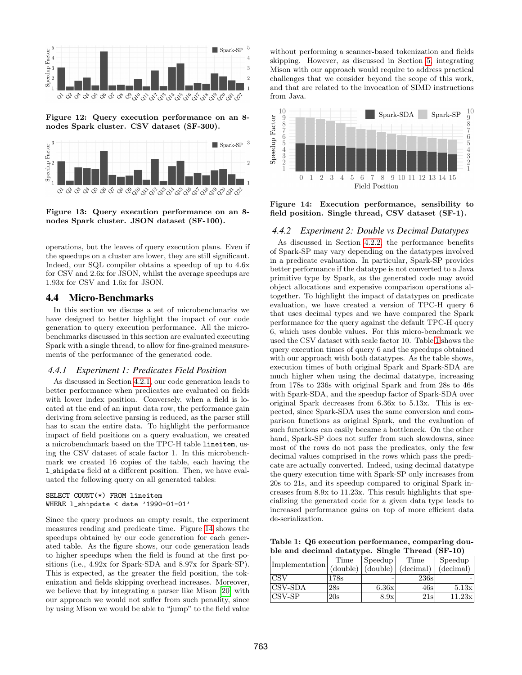

<span id="page-9-0"></span>Figure 12: Query execution performance on an 8 nodes Spark cluster. CSV dataset (SF-300).



<span id="page-9-1"></span>Figure 13: Query execution performance on an 8 nodes Spark cluster. JSON dataset (SF-100).

operations, but the leaves of query execution plans. Even if the speedups on a cluster are lower, they are still significant. Indeed, our SQL compiler obtains a speedup of up to 4.6x for CSV and 2.6x for JSON, whilst the average speedups are 1.93x for CSV and 1.6x for JSON.

## 4.4 Micro-Benchmarks

In this section we discuss a set of microbenchmarks we have designed to better highlight the impact of our code generation to query execution performance. All the microbenchmarks discussed in this section are evaluated executing Spark with a single thread, to allow for fine-grained measurements of the performance of the generated code.

#### <span id="page-9-4"></span>*4.4.1 Experiment 1: Predicates Field Position*

As discussed in Section [4.2.1,](#page-8-2) our code generation leads to better performance when predicates are evaluated on fields with lower index position. Conversely, when a field is located at the end of an input data row, the performance gain deriving from selective parsing is reduced, as the parser still has to scan the entire data. To highlight the performance impact of field positions on a query evaluation, we created a microbenchmark based on the TPC-H table lineitem, using the CSV dataset of scale factor 1. In this microbenchmark we created 16 copies of the table, each having the l shipdate field at a different position. Then, we have evaluated the following query on all generated tables:

```
SELECT COUNT(*) FROM lineitem
WHERE l_shipdate < date '1990-01-01'
```
Since the query produces an empty result, the experiment measures reading and predicate time. Figure [14](#page-9-2) shows the speedups obtained by our code generation for each generated table. As the figure shows, our code generation leads to higher speedups when the field is found at the first positions (i.e., 4.92x for Spark-SDA and 8.97x for Spark-SP). This is expected, as the greater the field position, the tokenization and fields skipping overhead increases. Moreover, we believe that by integrating a parser like Mison [\[20\]](#page-12-18) with our approach we would not suffer from such penality, since by using Mison we would be able to "jump" to the field value without performing a scanner-based tokenization and fields skipping. However, as discussed in Section [5,](#page-10-0) integrating Mison with our approach would require to address practical challenges that we consider beyond the scope of this work, and that are related to the invocation of SIMD instructions from Java.



<span id="page-9-2"></span>Figure 14: Execution performance, sensibility to field position. Single thread, CSV dataset (SF-1).

#### *4.4.2 Experiment 2: Double vs Decimal Datatypes*

As discussed in Section [4.2.2,](#page-8-3) the performance benefits of Spark-SP may vary depending on the datatypes involved in a predicate evaluation. In particular, Spark-SP provides better performance if the datatype is not converted to a Java primitive type by Spark, as the generated code may avoid object allocations and expensive comparison operations altogether. To highlight the impact of datatypes on predicate evaluation, we have created a version of TPC-H query 6 that uses decimal types and we have compared the Spark performance for the query against the default TPC-H query 6, which uses double values. For this micro-benchmark we used the CSV dataset with scale factor 10. Table [1](#page-9-3) shows the query execution times of query 6 and the speedups obtained with our approach with both datatypes. As the table shows, execution times of both original Spark and Spark-SDA are much higher when using the decimal datatype, increasing from 178s to 236s with original Spark and from 28s to 46s with Spark-SDA, and the speedup factor of Spark-SDA over original Spark decreases from 6.36x to 5.13x. This is expected, since Spark-SDA uses the same conversion and comparison functions as original Spark, and the evaluation of such functions can easily became a bottleneck. On the other hand, Spark-SP does not suffer from such slowdowns, since most of the rows do not pass the predicates, only the few decimal values comprised in the rows which pass the predicate are actually converted. Indeed, using decimal datatype the query execution time with Spark-SP only increases from 20s to 21s, and its speedup compared to original Spark increases from 8.9x to 11.23x. This result highlights that specializing the generated code for a given data type leads to increased performance gains on top of more efficient data de-serialization.

<span id="page-9-3"></span>Table 1: Q6 execution performance, comparing double and decimal datatype. Single Thread (SF-10)

| Implementation | Time                                      | Speedup | Time      | Speedup   |
|----------------|-------------------------------------------|---------|-----------|-----------|
|                | $\vert$ (double) $\vert$ (double) $\vert$ |         | (decimal) | (decimal) |
| ICSV           | 178s                                      |         | 236s      |           |
| <b>CSV-SDA</b> | 28s                                       | 6.36x   | 46s       | 5.13x     |
| <b>CSV-SP</b>  | 20s                                       | 8.9x    | 21s       | 11.23x    |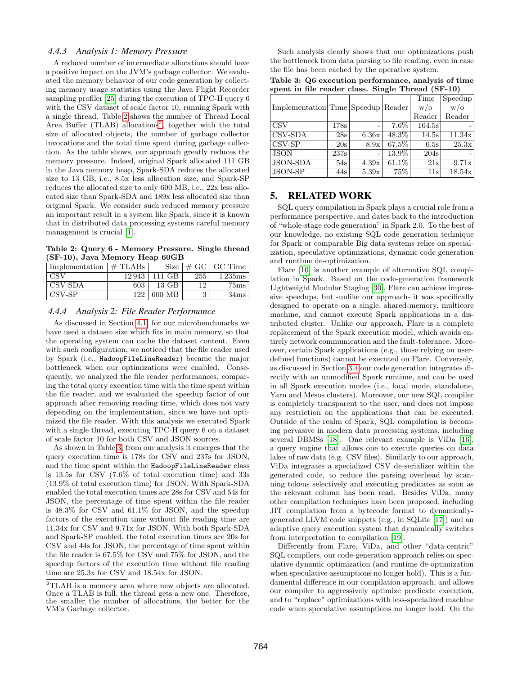## *4.4.3 Analysis 1: Memory Pressure*

A reduced number of intermediate allocations should have a positive impact on the JVM's garbage collector. We evaluated the memory behavior of our code generation by collecting memory usage statistics using the Java Flight Recorder sampling profiler [\[25\]](#page-12-19) during the execution of TPC-H query 6 with the CSV dataset of scale factor 10, running Spark with a single thread. Table [2](#page-10-1) shows the number of Thread Local Area Buffer (TLAB) allocations<sup>[2](#page-10-2)</sup>, together with the total size of allocated objects, the number of garbage collector invocations and the total time spent during garbage collection. As the table shows, our approach greatly reduces the memory pressure. Indeed, original Spark allocated 111 GB in the Java memory heap, Spark-SDA reduces the allocated size to 13 GB, i.e., 8.5x less allocation size, and Spark-SP reduces the allocated size to only 600 MB, i.e., 22x less allocated size than Spark-SDA and 189x less allocated size than original Spark. We consider such reduced memory pressure an important result in a system like Spark, since it is known that in distributed data processing systems careful memory management is crucial [\[1\]](#page-12-20).

<span id="page-10-1"></span>Table 2: Query 6 - Memory Pressure. Single thread (SF-10), Java Memory Heap 60GB

| Implementation $\#$ TLABs |       | Size   |     | $\vert \text{ } \# \text{ GC }   \text{ GC Time}$ |
|---------------------------|-------|--------|-----|---------------------------------------------------|
| <b>CSV</b>                | 12943 | 111 GB | 255 | 1235ms                                            |
| CSV-SDA                   | 603   | 13 GB  | 12  | 75ms                                              |
| CSV-SP                    | 122   | 600 MB | 3   | 34ms                                              |

# *4.4.4 Analysis 2: File Reader Performance*

As discussed in Section [4.1,](#page-7-2) for our microbenchmarks we have used a dataset size which fits in main memory, so that the operating system can cache the dataset content. Even with such configuration, we noticed that the file reader used by Spark (i.e., HadoopFileLineReader) became the major bottleneck when our optimizations were enabled. Consequently, we analyzed the file reader performances, comparing the total query execution time with the time spent within the file reader, and we evaluated the speedup factor of our approach after removing reading time, which does not vary depending on the implementation, since we have not optimized the file reader. With this analysis we executed Spark with a single thread, executing TPC-H query 6 on a dataset of scale factor 10 for both CSV and JSON sources.

As shown in Table [3,](#page-10-3) from our analysis it emerges that the query execution time is 178s for CSV and 237s for JSON, and the time spent within the HadoopFileLineReader class is 13.5s for CSV (7.6% of total execution time) and 33s (13.9% of total execution time) for JSON. With Spark-SDA enabled the total execution times are 28s for CSV and 54s for JSON, the percentage of time spent within the file reader is 48.3% for CSV and 61.1% for JSON, and the speedup factors of the execution time without file reading time are 11.34x for CSV and 9.71x for JSON. With both Spark-SDA and Spark-SP enabled, the total execution times are 20s for CSV and 44s for JSON, the percentage of time spent within the file reader is 67.5% for CSV and 75% for JSON, and the speedup factors of the execution time without file reading time are 25.3x for CSV and 18.54x for JSON.

Such analysis clearly shows that our optimizations push the bottleneck from data parsing to file reading, even in case the file has been cached by the operative system.

<span id="page-10-3"></span>Table 3: Q6 execution performance, analysis of time spent in file reader class. Single Thread (SF-10)

|                                    |      |       |          | Time       | Speedup        |
|------------------------------------|------|-------|----------|------------|----------------|
| Implementation Time Speedup Reader |      |       |          | $w/\sigma$ | $w/\mathrm{o}$ |
|                                    |      |       |          | Reader     | Reader         |
| <b>CSV</b>                         | 178s |       | $7.6\%$  | 164.5s     |                |
| CSV-SDA                            | 28s  | 6.36x | 48.3%    | 14.5s      | 11.34x         |
| $\overline{\text{CSV-SP}}$         | 20s  | 8.9x  | 67.5%    | 6.5s       | 25.3x          |
| <b>JSON</b>                        | 237s |       | 13.9%    | 204s       |                |
| <b>JSON-SDA</b>                    | 54s  | 4.39x | $61.1\%$ | 21s        | 9.71x          |
| <b>JSON-SP</b>                     | 44s  | 5.39x | 75%      | 11s        | 18.54x         |

# <span id="page-10-0"></span>5. RELATED WORK

SQL query compilation in Spark plays a crucial role from a performance perspective, and dates back to the introduction of "whole-stage code generation" in Spark 2.0. To the best of our knowledge, no existing SQL code generation technique for Spark or comparable Big data systems relies on specialization, speculative optimizations, dynamic code generation and runtime de-optimization.

Flare [\[10\]](#page-12-21) is another example of alternative SQL compilation in Spark. Based on the code-generation framework Lightweight Modular Staging [\[30\]](#page-12-22), Flare can achieve impressive speedups, but -unlike our approach- it was specifically designed to operate on a single, shared-memory, multicore machine, and cannot execute Spark applications in a distributed cluster. Unlike our approach, Flare is a complete replacement of the Spark execution model, which avoids entirely network communication and the fault-tolerance. Moreover, certain Spark applications (e.g., those relying on userdefined functions) cannot be executed on Flare. Conversely, as discussed in Section [3.4](#page-6-2) our code generation integrates directly with an unmodified Spark runtime, and can be used in all Spark execution modes (i.e., local mode, standalone, Yarn and Mesos clusters). Moreover, our new SQL compiler is completely transparent to the user, and does not impose any restriction on the applications that can be executed. Outside of the realm of Spark, SQL compilation is becoming pervasive in modern data processing systems, including several DBMSs [\[18\]](#page-12-23). One relevant example is ViDa [\[16\]](#page-12-24), a query engine that allows one to execute queries on data lakes of raw data (e.g. CSV files). Similarly to our approach, ViDa integrates a specialized CSV de-serializer within the generated code, to reduce the parsing overhead by scanning tokens selectively and executing predicates as soon as the relevant column has been read. Besides ViDa, many other compilation techniques have been proposed, including JIT compilation from a bytecode format to dynamicallygenerated LLVM code snippets (e.g., in SQLite [\[17\]](#page-12-25)) and an adaptive query execution system that dynamically switches from interpretation to compilation [\[19\]](#page-12-26).

Differently from Flare, ViDa, and other "data-centric" SQL compilers, our code-generation approach relies on speculative dynamic optimization (and runtime de-optimization when speculative assumptions no longer hold). This is a fundamental difference in our compilation approach, and allows our compiler to aggressively optimize predicate execution, and to "replace" optimizations with less-specialized machine code when speculative assumptions no longer hold. On the

<span id="page-10-2"></span><sup>2</sup>TLAB is a memory area where new objects are allocated. Once a TLAB is full, the thread gets a new one. Therefore, the smaller the number of allocations, the better for the VM's Garbage collector.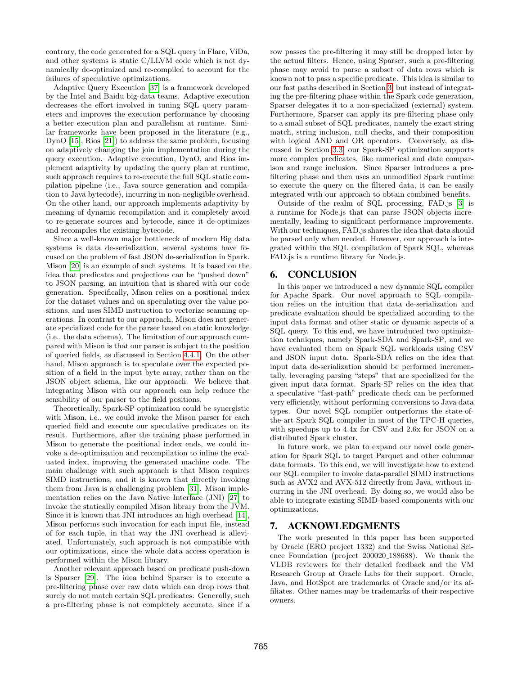contrary, the code generated for a SQL query in Flare, ViDa, and other systems is static C/LLVM code which is not dynamically de-optimized and re-compiled to account for the failures of speculative optimizations.

Adaptive Query Execution [\[37\]](#page-13-12) is a framework developed by the Intel and Baidu big-data teams. Adaptive execution decreases the effort involved in tuning SQL query parameters and improves the execution performance by choosing a better execution plan and parallelism at runtime. Similar frameworks have been proposed in the literature (e.g., DynO [\[15\]](#page-12-27), Rios [\[21\]](#page-12-28)) to address the same problem, focusing on adaptively changing the join implementation during the query execution. Adaptive execution, DynO, and Rios implement adaptivity by updating the query plan at runtime, such approach requires to re-execute the full SQL static compilation pipeline (i.e., Java source generation and compilation to Java bytecode), incurring in non-negligible overhead. On the other hand, our approach implements adaptivity by meaning of dynamic recompilation and it completely avoid to re-generate sources and bytecode, since it de-optimizes and recompiles the existing bytecode.

Since a well-known major bottleneck of modern Big data systems is data de-serialization, several systems have focused on the problem of fast JSON de-serialization in Spark. Mison [\[20\]](#page-12-18) is an example of such systems. It is based on the idea that predicates and projections can be "pushed down" to JSON parsing, an intuition that is shared with our code generation. Specifically, Mison relies on a positional index for the dataset values and on speculating over the value positions, and uses SIMD instruction to vectorize scanning operations. In contrast to our approach, Mison does not generate specialized code for the parser based on static knowledge (i.e., the data schema). The limitation of our approach compared with Mison is that our parser is subject to the position of queried fields, as discussed in Section [4.4.1.](#page-9-4) On the other hand, Mison approach is to speculate over the expected position of a field in the input byte array, rather than on the JSON object schema, like our approach. We believe that integrating Mison with our approach can help reduce the sensibility of our parser to the field positions.

Theoretically, Spark-SP optimization could be synergistic with Mison, i.e., we could invoke the Mison parser for each queried field and execute our speculative predicates on its result. Furthermore, after the training phase performed in Mison to generate the positional index ends, we could invoke a de-optimization and recompilation to inline the evaluated index, improving the generated machine code. The main challenge with such approach is that Mison requires SIMD instructions, and it is known that directly invoking them from Java is a challenging problem [\[31\]](#page-12-29). Mison implementation relies on the Java Native Interface (JNI) [\[27\]](#page-12-30) to invoke the statically compiled Mison library from the JVM. Since it is known that JNI introduces an high overhead [\[14\]](#page-12-31), Mison performs such invocation for each input file, instead of for each tuple, in that way the JNI overhead is alleviated. Unfortunately, such approach is not compatible with our optimizations, since the whole data access operation is performed within the Mison library.

Another relevant approach based on predicate push-down is Sparser [\[29\]](#page-12-32). The idea behind Sparser is to execute a pre-filtering phase over raw data which can drop rows that surely do not match certain SQL predicates. Generally, such a pre-filtering phase is not completely accurate, since if a row passes the pre-filtering it may still be dropped later by the actual filters. Hence, using Sparser, such a pre-filtering phase may avoid to parse a subset of data rows which is known not to pass a specific predicate. This idea is similar to our fast paths described in Section [3,](#page-2-0) but instead of integrating the pre-filtering phase within the Spark code generation, Sparser delegates it to a non-specialized (external) system. Furthermore, Sparser can apply its pre-filtering phase only to a small subset of SQL predicates, namely the exact string match, string inclusion, null checks, and their composition with logical AND and OR operators. Conversely, as discussed in Section [3.3,](#page-5-0) our Spark-SP optimization supports more complex predicates, like numerical and date comparison and range inclusion. Since Sparser introduces a prefiltering phase and then uses an unmodified Spark runtime to execute the query on the filtered data, it can be easily integrated with our approach to obtain combined benefits.

Outside of the realm of SQL processing, FAD.js [\[3\]](#page-12-33) is a runtime for Node.js that can parse JSON objects incrementally, leading to significant performance improvements. With our techniques, FAD.js shares the idea that data should be parsed only when needed. However, our approach is integrated within the SQL compilation of Spark SQL, whereas FAD.js is a runtime library for Node.js.

# <span id="page-11-0"></span>6. CONCLUSION

In this paper we introduced a new dynamic SQL compiler for Apache Spark. Our novel approach to SQL compilation relies on the intuition that data de-serialization and predicate evaluation should be specialized according to the input data format and other static or dynamic aspects of a SQL query. To this end, we have introduced two optimization techniques, namely Spark-SDA and Spark-SP, and we have evaluated them on Spark SQL workloads using CSV and JSON input data. Spark-SDA relies on the idea that input data de-serialization should be performed incrementally, leveraging parsing "steps" that are specialized for the given input data format. Spark-SP relies on the idea that a speculative "fast-path" predicate check can be performed very efficiently, without performing conversions to Java data types. Our novel SQL compiler outperforms the state-ofthe-art Spark SQL compiler in most of the TPC-H queries, with speedups up to 4.4x for CSV and 2.6x for JSON on a distributed Spark cluster.

In future work, we plan to expand our novel code generation for Spark SQL to target Parquet and other columnar data formats. To this end, we will investigate how to extend our SQL compiler to invoke data-parallel SIMD instructions such as AVX2 and AVX-512 directly from Java, without incurring in the JNI overhead. By doing so, we would also be able to integrate existing SIMD-based components with our optimizations.

# 7. ACKNOWLEDGMENTS

The work presented in this paper has been supported by Oracle (ERO project 1332) and the Swiss National Science Foundation (project 200020 188688). We thank the VLDB reviewers for their detailed feedback and the VM Research Group at Oracle Labs for their support. Oracle, Java, and HotSpot are trademarks of Oracle and/or its affiliates. Other names may be trademarks of their respective owners.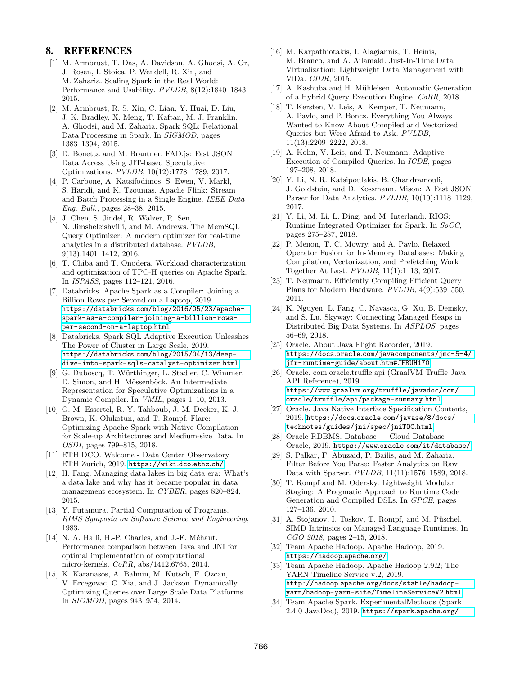# 8. REFERENCES

- <span id="page-12-20"></span>[1] M. Armbrust, T. Das, A. Davidson, A. Ghodsi, A. Or, J. Rosen, I. Stoica, P. Wendell, R. Xin, and M. Zaharia. Scaling Spark in the Real World: Performance and Usability. PVLDB, 8(12):1840–1843, 2015.
- <span id="page-12-6"></span>[2] M. Armbrust, R. S. Xin, C. Lian, Y. Huai, D. Liu, J. K. Bradley, X. Meng, T. Kaftan, M. J. Franklin, A. Ghodsi, and M. Zaharia. Spark SQL: Relational Data Processing in Spark. In SIGMOD, pages 1383–1394, 2015.
- <span id="page-12-33"></span>[3] D. Bonetta and M. Brantner. FAD.js: Fast JSON Data Access Using JIT-based Speculative Optimizations. PVLDB, 10(12):1778–1789, 2017.
- <span id="page-12-0"></span>[4] P. Carbone, A. Katsifodimos, S. Ewen, V. Markl, S. Haridi, and K. Tzoumas. Apache Flink: Stream and Batch Processing in a Single Engine. IEEE Data Eng. Bull., pages 28–38, 2015.
- <span id="page-12-10"></span>[5] J. Chen, S. Jindel, R. Walzer, R. Sen, N. Jimsheleishvilli, and M. Andrews. The MemSQL Query Optimizer: A modern optimizer for real-time analytics in a distributed database. PVLDB, 9(13):1401–1412, 2016.
- <span id="page-12-17"></span>[6] T. Chiba and T. Onodera. Workload characterization and optimization of TPC-H queries on Apache Spark. In ISPASS, pages 112–121, 2016.
- <span id="page-12-3"></span>[7] Databricks. Apache Spark as a Compiler: Joining a Billion Rows per Second on a Laptop, 2019. https://databricks.[com/blog/2016/05/23/apache](https://databricks.com/blog/2016/05/23/apache-spark-as-a-compiler-joining-a-billion-rows-per-second-on-a-laptop.html)[spark-as-a-compiler-joining-a-billion-rows](https://databricks.com/blog/2016/05/23/apache-spark-as-a-compiler-joining-a-billion-rows-per-second-on-a-laptop.html)[per-second-on-a-laptop](https://databricks.com/blog/2016/05/23/apache-spark-as-a-compiler-joining-a-billion-rows-per-second-on-a-laptop.html).html.
- <span id="page-12-12"></span>[8] Databricks. Spark SQL Adaptive Execution Unleashes The Power of Cluster in Large Scale, 2019. https://databricks.[com/blog/2015/04/13/deep](https://databricks.com/blog/2015/04/13/deep-dive-into-spark-sqls-catalyst-optimizer.html)[dive-into-spark-sqls-catalyst-optimizer](https://databricks.com/blog/2015/04/13/deep-dive-into-spark-sqls-catalyst-optimizer.html).html.
- <span id="page-12-9"></span>[9] G. Duboscq, T. Würthinger, L. Stadler, C. Wimmer, D. Simon, and H. Mössenböck. An Intermediate Representation for Speculative Optimizations in a Dynamic Compiler. In VMIL, pages 1–10, 2013.
- <span id="page-12-21"></span>[10] G. M. Essertel, R. Y. Tahboub, J. M. Decker, K. J. Brown, K. Olukotun, and T. Rompf. Flare: Optimizing Apache Spark with Native Compilation for Scale-up Architectures and Medium-size Data. In OSDI, pages 799–815, 2018.
- <span id="page-12-14"></span>[11] ETH DCO. Welcome - Data Center Observatory — ETH Zurich, 2019. [https://wiki](https://wiki.dco.ethz.ch/).dco.ethz.ch/.
- <span id="page-12-2"></span>[12] H. Fang. Managing data lakes in big data era: What's a data lake and why has it became popular in data management ecosystem. In CYBER, pages 820–824, 2015.
- <span id="page-12-7"></span>[13] Y. Futamura. Partial Computation of Programs. RIMS Symposia on Software Science and Engineering, 1983.
- <span id="page-12-31"></span>[14] N. A. Halli, H.-P. Charles, and J.-F. Méhaut. Performance comparison between Java and JNI for optimal implementation of computational micro-kernels. CoRR, abs/1412.6765, 2014.
- <span id="page-12-27"></span>[15] K. Karanasos, A. Balmin, M. Kutsch, F. Ozcan, V. Ercegovac, C. Xia, and J. Jackson. Dynamically Optimizing Queries over Large Scale Data Platforms. In SIGMOD, pages 943–954, 2014.
- <span id="page-12-24"></span>[16] M. Karpathiotakis, I. Alagiannis, T. Heinis, M. Branco, and A. Ailamaki. Just-In-Time Data Virtualization: Lightweight Data Management with ViDa. CIDR, 2015.
- <span id="page-12-25"></span>[17] A. Kashuba and H. Mühleisen. Automatic Generation of a Hybrid Query Execution Engine. CoRR, 2018.
- <span id="page-12-23"></span>[18] T. Kersten, V. Leis, A. Kemper, T. Neumann, A. Pavlo, and P. Boncz. Everything You Always Wanted to Know About Compiled and Vectorized Queries but Were Afraid to Ask. PVLDB, 11(13):2209–2222, 2018.
- <span id="page-12-26"></span>[19] A. Kohn, V. Leis, and T. Neumann. Adaptive Execution of Compiled Queries. In ICDE, pages 197–208, 2018.
- <span id="page-12-18"></span>[20] Y. Li, N. R. Katsipoulakis, B. Chandramouli, J. Goldstein, and D. Kossmann. Mison: A Fast JSON Parser for Data Analytics. PVLDB, 10(10):1118–1129, 2017.
- <span id="page-12-28"></span>[21] Y. Li, M. Li, L. Ding, and M. Interlandi. RIOS: Runtime Integrated Optimizer for Spark. In SoCC, pages 275–287, 2018.
- <span id="page-12-11"></span>[22] P. Menon, T. C. Mowry, and A. Pavlo. Relaxed Operator Fusion for In-Memory Databases: Making Compilation, Vectorization, and Prefetching Work Together At Last. PVLDB, 11(1):1–13, 2017.
- <span id="page-12-4"></span>[23] T. Neumann. Efficiently Compiling Efficient Query Plans for Modern Hardware. PVLDB, 4(9):539–550, 2011.
- <span id="page-12-16"></span>[24] K. Nguyen, L. Fang, C. Navasca, G. Xu, B. Demsky, and S. Lu. Skyway: Connecting Managed Heaps in Distributed Big Data Systems. In ASPLOS, pages 56–69, 2018.
- <span id="page-12-19"></span>[25] Oracle. About Java Flight Recorder, 2019. https://docs.oracle.[com/javacomponents/jmc-5-4/](https://docs.oracle.com/javacomponents/jmc-5-4/jfr-runtime-guide/about.htm#JFRUH170) [jfr-runtime-guide/about](https://docs.oracle.com/javacomponents/jmc-5-4/jfr-runtime-guide/about.htm#JFRUH170).htm#JFRUH170.
- <span id="page-12-8"></span>[26] Oracle. com.oracle.truffle.api (GraalVM Truffle Java API Reference), 2019. https://www.graalvm.[org/truffle/javadoc/com/](https://www.graalvm.org/truffle/javadoc/com/oracle/truffle/api/package-summary.html) [oracle/truffle/api/package-summary](https://www.graalvm.org/truffle/javadoc/com/oracle/truffle/api/package-summary.html).html.
- <span id="page-12-30"></span>[27] Oracle. Java Native Interface Specification Contents, 2019. https://docs.oracle.[com/javase/8/docs/](https://docs.oracle.com/javase/8/docs/technotes/guides/jni/spec/jniTOC.html) [technotes/guides/jni/spec/jniTOC](https://docs.oracle.com/javase/8/docs/technotes/guides/jni/spec/jniTOC.html).html.
- <span id="page-12-5"></span>[28] Oracle RDBMS. Database — Cloud Database — Oracle, 2019. https://www.oracle.[com/it/database/](https://www.oracle.com/it/database/).
- <span id="page-12-32"></span>[29] S. Palkar, F. Abuzaid, P. Bailis, and M. Zaharia. Filter Before You Parse: Faster Analytics on Raw Data with Sparser. PVLDB, 11(11):1576–1589, 2018.
- <span id="page-12-22"></span>[30] T. Rompf and M. Odersky. Lightweight Modular Staging: A Pragmatic Approach to Runtime Code Generation and Compiled DSLs. In GPCE, pages 127–136, 2010.
- <span id="page-12-29"></span>[31] A. Stojanov, I. Toskov, T. Rompf, and M. Püschel. SIMD Intrinsics on Managed Language Runtimes. In CGO 2018, pages 2–15, 2018.
- <span id="page-12-1"></span>[32] Team Apache Hadoop. Apache Hadoop, 2019. [https://hadoop](https://hadoop.apache.org/).apache.org/.
- <span id="page-12-15"></span>[33] Team Apache Hadoop. Apache Hadoop 2.9.2; The YARN Timeline Service v.2, 2019. http://hadoop.apache.[org/docs/stable/hadoop](http://hadoop.apache.org/docs/stable/hadoop-yarn/hadoop-yarn-site/TimelineServiceV2.html)[yarn/hadoop-yarn-site/TimelineServiceV2](http://hadoop.apache.org/docs/stable/hadoop-yarn/hadoop-yarn-site/TimelineServiceV2.html).html.
- <span id="page-12-13"></span>[34] Team Apache Spark. ExperimentalMethods (Spark 2.4.0 JavaDoc), 2019. [https://spark](https://spark.apache.org/docs/2.4.0/api/java/org/apache/spark/sql/ExperimentalMethods.html#extraOptimizations()).apache.org/